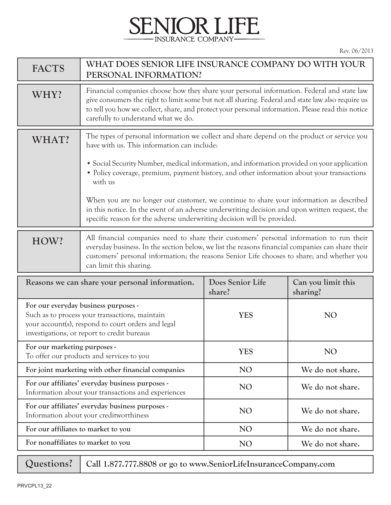## **ENIOR LIFE** - INSURANCE COMPANY-

| <b>FACTS</b>                                                                                                                                                                                | WHAT DOES SENIOR LIFE INSURANCE COMPANY DO WITH YOUR<br>PERSONAL INFORMATION?                                                                                                                                                                                                                                                               |                            |                                |
|---------------------------------------------------------------------------------------------------------------------------------------------------------------------------------------------|---------------------------------------------------------------------------------------------------------------------------------------------------------------------------------------------------------------------------------------------------------------------------------------------------------------------------------------------|----------------------------|--------------------------------|
| WHY?                                                                                                                                                                                        | Financial companies choose how they share your personal information. Federal and state law<br>give consumers the right to limit some but not all sharing. Federal and state law also require us<br>to tell you how we collect, share, and protect your personal information. Please read this notice<br>carefully to understand what we do. |                            |                                |
| WHAT?                                                                                                                                                                                       | The types of personal information we collect and share depend on the product or service you<br>have with us. This information can include:                                                                                                                                                                                                  |                            |                                |
|                                                                                                                                                                                             | • Social Security Number, medical information, and information provided on your application<br>• Policy coverage, premium, payment history, and other information about your transactions<br>with us                                                                                                                                        |                            |                                |
|                                                                                                                                                                                             | When you are no longer our customer, we continue to share your information as described<br>in this notice. In the event of an adverse underwriting decision and upon written request, the<br>specific reason for the adverse underwriting decision will be provided.                                                                        |                            |                                |
| HOW?                                                                                                                                                                                        | All financial companies need to share their customers' personal information to run their<br>everyday business. In the section below, we list the reasons financial companies can share their<br>customers' personal information; the reasons Senior Life chooses to share; and whether you<br>can limit this sharing.                       |                            |                                |
| Reasons we can share your personal information.                                                                                                                                             |                                                                                                                                                                                                                                                                                                                                             | Does Senior Life<br>share? | Can you limit this<br>sharing? |
| For our everyday business purposes -<br>Such as to process your transactions, maintain<br>your account(s), respond to court orders and legal<br>investigations, or report to credit bureaus |                                                                                                                                                                                                                                                                                                                                             | <b>YES</b>                 | <b>NO</b>                      |
| For our marketing purposes -<br>To offer our products and services to you                                                                                                                   |                                                                                                                                                                                                                                                                                                                                             | <b>YES</b>                 | N <sub>O</sub>                 |
| For joint marketing with other financial companies                                                                                                                                          |                                                                                                                                                                                                                                                                                                                                             | NO <sub>1</sub>            | We do not share.               |
| For our affiliates' everyday business purposes -<br>Information about your transactions and experiences                                                                                     |                                                                                                                                                                                                                                                                                                                                             |                            |                                |
|                                                                                                                                                                                             |                                                                                                                                                                                                                                                                                                                                             | NO <sub>1</sub>            | We do not share.               |
|                                                                                                                                                                                             | For our affiliates' everyday business purposes -<br>Information about your creditworthiness                                                                                                                                                                                                                                                 | N <sub>O</sub>             | We do not share.               |
| For our affiliates to market to you                                                                                                                                                         |                                                                                                                                                                                                                                                                                                                                             | NO <sub>1</sub>            | We do not share.               |
| For nonaffiliates to market to you                                                                                                                                                          |                                                                                                                                                                                                                                                                                                                                             | N <sub>O</sub>             | We do not share.               |

**Questions?**

**Call 1.877.777.8808 or go to www.SeniorLifeInsuranceCompany.com**